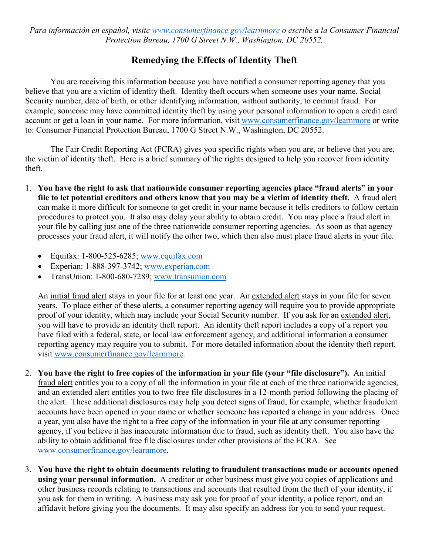*Para información en español, visite [www.consumerfinance.gov/learnmore](http://www.consumerfinance.gov/learnmore) o escribe a la Consumer Financial Protection Bureau, 1700 G Street N.W., Washington, DC 20552.*

## **Remedying the Effects of Identity Theft**

You are receiving this information because you have notified a consumer reporting agency that you believe that you are a victim of identity theft. Identity theft occurs when someone uses your name, Social Security number, date of birth, or other identifying information, without authority, to commit fraud. For example, someone may have committed identity theft by using your personal information to open a credit card account or get a loan in your name. For more information, visit [www.consumerfinance.gov/learnmore](http://www.consumerfinance.gov/learnmore) or write to: Consumer Financial Protection Bureau, 1700 G Street N.W., Washington, DC 20552.

The Fair Credit Reporting Act (FCRA) gives you specific rights when you are, or believe that you are, the victim of identity theft. Here is a brief summary of the rights designed to help you recover from identity theft.

- 1. **You have the right to ask that nationwide consumer reporting agencies place "fraud alerts" in your file to let potential creditors and others know that you may be a victim of identity theft.** A fraud alert can make it more difficult for someone to get credit in your name because it tells creditors to follow certain procedures to protect you. It also may delay your ability to obtain credit. You may place a fraud alert in your file by calling just one of the three nationwide consumer reporting agencies. As soon as that agency processes your fraud alert, it will notify the other two, which then also must place fraud alerts in your file.
	- Equifax: 1-800-525-6285; [www.equifax.com](http://www.equifax.com/)
	- Experian: 1-888-397-3742; [www.experian.com](http://www.experian.com/)
	- TransUnion: 1-800-680-7289; [www.transunion.com](http://www.transunion.com/)

An initial fraud alert stays in your file for at least one year. An extended alert stays in your file for seven years. To place either of these alerts, a consumer reporting agency will require you to provide appropriate proof of your identity, which may include your Social Security number. If you ask for an extended alert, you will have to provide an identity theft report. An identity theft report includes a copy of a report you have filed with a federal, state, or local law enforcement agency, and additional information a consumer reporting agency may require you to submit. For more detailed information about the identity theft report, visit [www.consumerfinance.gov/learnmore.](http://www.consumerfinance.gov/learnmore)

- 2. **You have the right to free copies of the information in your file (your "file disclosure").** An initial fraud alert entitles you to a copy of all the information in your file at each of the three nationwide agencies, and an extended alert entitles you to two free file disclosures in a 12-month period following the placing of the alert. These additional disclosures may help you detect signs of fraud, for example, whether fraudulent accounts have been opened in your name or whether someone has reported a change in your address. Once a year, you also have the right to a free copy of the information in your file at any consumer reporting agency, if you believe it has inaccurate information due to fraud, such as identity theft. You also have the ability to obtain additional free file disclosures under other provisions of the FCRA. See [www.consumerfinance.gov/learnmore.](http://www.consumerfinance.gov/learnmore)
- 3. **You have the right to obtain documents relating to fraudulent transactions made or accounts opened using your personal information.** A creditor or other business must give you copies of applications and other business records relating to transactions and accounts that resulted from the theft of your identity, if you ask for them in writing. A business may ask you for proof of your identity, a police report, and an affidavit before giving you the documents. It may also specify an address for you to send your request.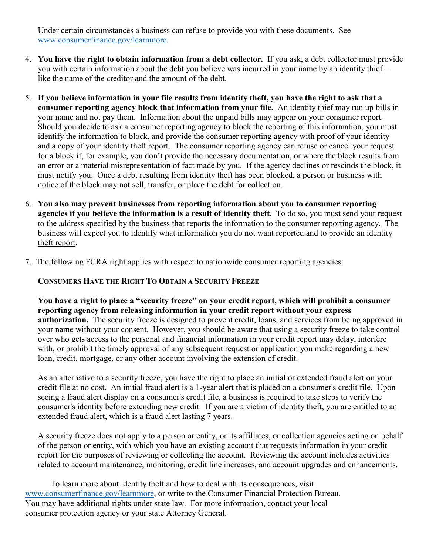Under certain circumstances a business can refuse to provide you with these documents. See [www.consumerfinance.gov/learnmore.](http://www.consumerfinance.gov/learnmore)

- 4. **You have the right to obtain information from a debt collector.** If you ask, a debt collector must provide you with certain information about the debt you believe was incurred in your name by an identity thief – like the name of the creditor and the amount of the debt.
- 5. **If you believe information in your file results from identity theft, you have the right to ask that a consumer reporting agency block that information from your file.** An identity thief may run up bills in your name and not pay them. Information about the unpaid bills may appear on your consumer report. Should you decide to ask a consumer reporting agency to block the reporting of this information, you must identify the information to block, and provide the consumer reporting agency with proof of your identity and a copy of your identity theft report. The consumer reporting agency can refuse or cancel your request for a block if, for example, you don't provide the necessary documentation, or where the block results from an error or a material misrepresentation of fact made by you. If the agency declines or rescinds the block, it must notify you. Once a debt resulting from identity theft has been blocked, a person or business with notice of the block may not sell, transfer, or place the debt for collection.
- 6. **You also may prevent businesses from reporting information about you to consumer reporting agencies if you believe the information is a result of identity theft.** To do so, you must send your request to the address specified by the business that reports the information to the consumer reporting agency. The business will expect you to identify what information you do not want reported and to provide an identity theft report.
- 7. The following FCRA right applies with respect to nationwide consumer reporting agencies:

## **CONSUMERS HAVE THE RIGHT TO OBTAIN A SECURITY FREEZE**

**You have a right to place a "security freeze" on your credit report, which will prohibit a consumer reporting agency from releasing information in your credit report without your express authorization.** The security freeze is designed to prevent credit, loans, and services from being approved in your name without your consent. However, you should be aware that using a security freeze to take control over who gets access to the personal and financial information in your credit report may delay, interfere with, or prohibit the timely approval of any subsequent request or application you make regarding a new loan, credit, mortgage, or any other account involving the extension of credit.

As an alternative to a security freeze, you have the right to place an initial or extended fraud alert on your credit file at no cost. An initial fraud alert is a 1-year alert that is placed on a consumer's credit file. Upon seeing a fraud alert display on a consumer's credit file, a business is required to take steps to verify the consumer's identity before extending new credit. If you are a victim of identity theft, you are entitled to an extended fraud alert, which is a fraud alert lasting 7 years.

A security freeze does not apply to a person or entity, or its affiliates, or collection agencies acting on behalf of the person or entity, with which you have an existing account that requests information in your credit report for the purposes of reviewing or collecting the account. Reviewing the account includes activities related to account maintenance, monitoring, credit line increases, and account upgrades and enhancements.

To learn more about identity theft and how to deal with its consequences, visit [www.consumerfinance.gov/learnmore,](http://www.consumerfinance.gov/learnmore) or write to the Consumer Financial Protection Bureau. You may have additional rights under state law. For more information, contact your local consumer protection agency or your state Attorney General.